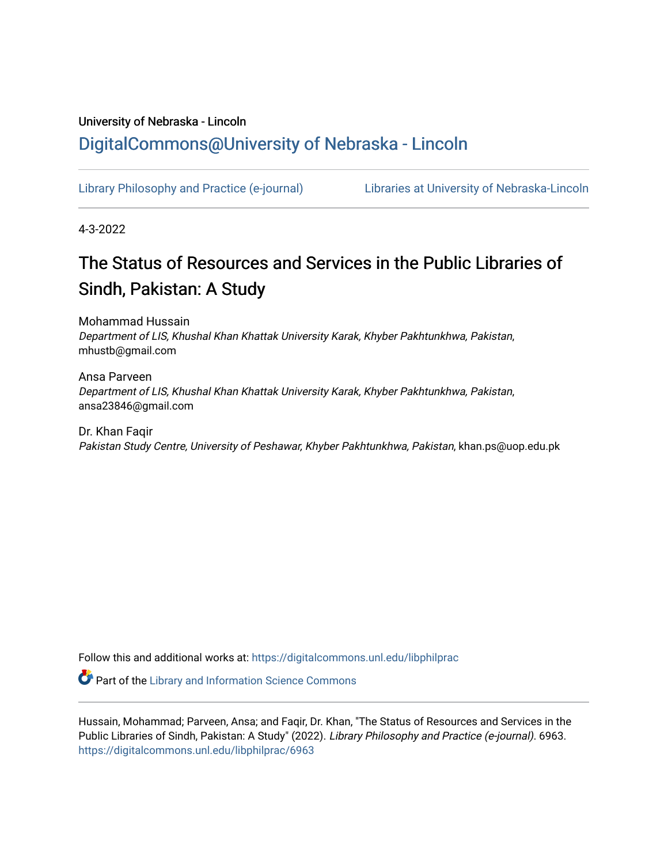# University of Nebraska - Lincoln [DigitalCommons@University of Nebraska - Lincoln](https://digitalcommons.unl.edu/)

[Library Philosophy and Practice \(e-journal\)](https://digitalcommons.unl.edu/libphilprac) [Libraries at University of Nebraska-Lincoln](https://digitalcommons.unl.edu/libraries) 

4-3-2022

# The Status of Resources and Services in the Public Libraries of Sindh, Pakistan: A Study

Mohammad Hussain Department of LIS, Khushal Khan Khattak University Karak, Khyber Pakhtunkhwa, Pakistan, mhustb@gmail.com

Ansa Parveen Department of LIS, Khushal Khan Khattak University Karak, Khyber Pakhtunkhwa, Pakistan, ansa23846@gmail.com

Dr. Khan Faqir Pakistan Study Centre, University of Peshawar, Khyber Pakhtunkhwa, Pakistan, khan.ps@uop.edu.pk

Follow this and additional works at: [https://digitalcommons.unl.edu/libphilprac](https://digitalcommons.unl.edu/libphilprac?utm_source=digitalcommons.unl.edu%2Flibphilprac%2F6963&utm_medium=PDF&utm_campaign=PDFCoverPages) 

**Part of the Library and Information Science Commons** 

Hussain, Mohammad; Parveen, Ansa; and Faqir, Dr. Khan, "The Status of Resources and Services in the Public Libraries of Sindh, Pakistan: A Study" (2022). Library Philosophy and Practice (e-journal). 6963. [https://digitalcommons.unl.edu/libphilprac/6963](https://digitalcommons.unl.edu/libphilprac/6963?utm_source=digitalcommons.unl.edu%2Flibphilprac%2F6963&utm_medium=PDF&utm_campaign=PDFCoverPages)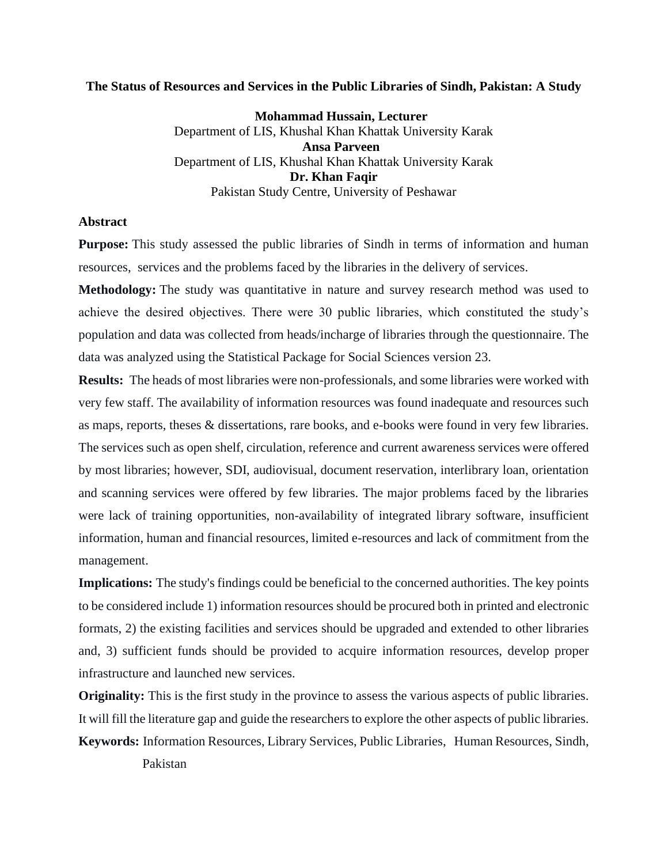# **The Status of Resources and Services in the Public Libraries of Sindh, Pakistan: A Study**

**Mohammad Hussain, Lecturer** Department of LIS, Khushal Khan Khattak University Karak **Ansa Parveen** Department of LIS, Khushal Khan Khattak University Karak Dr. Khan Faqir Pakistan Study Centre, University of Peshawar

# **Abstract**

**Purpose:** This study assessed the public libraries of Sindh in terms of information and human resources, services and the problems faced by the libraries in the delivery of services.

**Methodology:** The study was quantitative in nature and survey research method was used to achieve the desired objectives. There were 30 public libraries, which constituted the study's population and data was collected from heads/incharge of libraries through the questionnaire. The data was analyzed using the Statistical Package for Social Sciences version 23.

**Results:** The heads of most libraries were non-professionals, and some libraries were worked with very few staff. The availability of information resources was found inadequate and resources such as maps, reports, theses & dissertations, rare books, and e-books were found in very few libraries. The services such as open shelf, circulation, reference and current awareness services were offered by most libraries; however, SDI, audiovisual, document reservation, interlibrary loan, orientation and scanning services were offered by few libraries. The major problems faced by the libraries were lack of training opportunities, non-availability of integrated library software, insufficient information, human and financial resources, limited e-resources and lack of commitment from the management.

**Implications:** The study's findings could be beneficial to the concerned authorities. The key points to be considered include 1) information resources should be procured both in printed and electronic formats, 2) the existing facilities and services should be upgraded and extended to other libraries and, 3) sufficient funds should be provided to acquire information resources, develop proper infrastructure and launched new services.

**Originality:** This is the first study in the province to assess the various aspects of public libraries. It will fill the literature gap and guide the researchers to explore the other aspects of public libraries. **Keywords:** Information Resources, Library Services, Public Libraries, Human Resources, Sindh,

Pakistan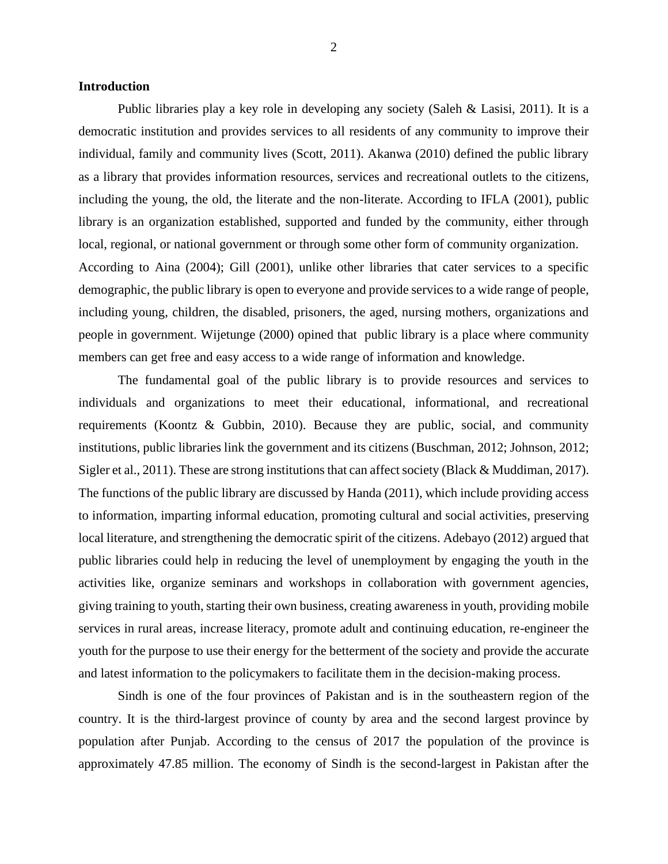## **Introduction**

Public libraries play a key role in developing any society (Saleh & Lasisi, 2011). It is a democratic institution and provides services to all residents of any community to improve their individual, family and community lives (Scott, 2011). Akanwa (2010) defined the public library as a library that provides information resources, services and recreational outlets to the citizens, including the young, the old, the literate and the non-literate. According to IFLA (2001), public library is an organization established, supported and funded by the community, either through local, regional, or national government or through some other form of community organization. According to Aina (2004); Gill (2001), unlike other libraries that cater services to a specific demographic, the public library is open to everyone and provide services to a wide range of people, including young, children, the disabled, prisoners, the aged, nursing mothers, organizations and

people in government. Wijetunge (2000) opined that public library is a place where community members can get free and easy access to a wide range of information and knowledge.

The fundamental goal of the public library is to provide resources and services to individuals and organizations to meet their educational, informational, and recreational requirements (Koontz & Gubbin, 2010). Because they are public, social, and community institutions, public libraries link the government and its citizens (Buschman, 2012; Johnson, 2012; Sigler et al., 2011). These are strong institutions that can affect society (Black & Muddiman, 2017). The functions of the public library are discussed by Handa (2011), which include providing access to information, imparting informal education, promoting cultural and social activities, preserving local literature, and strengthening the democratic spirit of the citizens. Adebayo (2012) argued that public libraries could help in reducing the level of unemployment by engaging the youth in the activities like, organize seminars and workshops in collaboration with government agencies, giving training to youth, starting their own business, creating awareness in youth, providing mobile services in rural areas, increase literacy, promote adult and continuing education, re-engineer the youth for the purpose to use their energy for the betterment of the society and provide the accurate and latest information to the policymakers to facilitate them in the decision-making process.

Sindh is one of the four provinces of Pakistan and is in the southeastern region of the country. It is the third-largest province of county by area and the second largest province by population after Punjab. According to the census of 2017 the population of the province is approximately 47.85 million. The economy of Sindh is the second-largest in Pakistan after the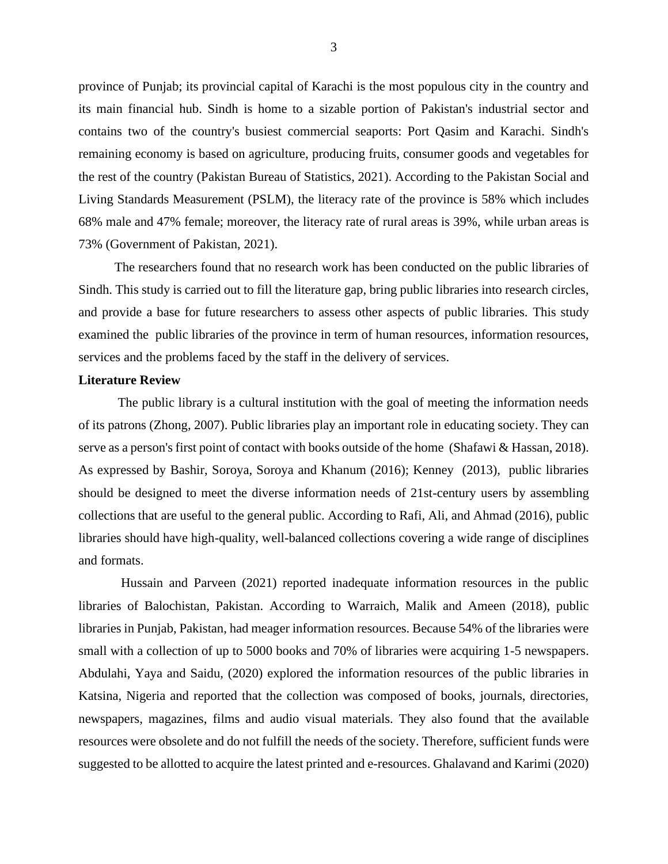province of Punjab; its provincial capital of Karachi is the most populous city in the country and its main financial hub. Sindh is home to a sizable portion of Pakistan's industrial sector and contains two of the country's busiest commercial seaports: Port Qasim and Karachi. Sindh's remaining economy is based on agriculture, producing fruits, consumer goods and vegetables for the rest of the country (Pakistan Bureau of Statistics, 2021). According to the Pakistan Social and Living Standards Measurement (PSLM), the literacy rate of the province is 58% which includes 68% male and 47% female; moreover, the literacy rate of rural areas is 39%, while urban areas is 73% (Government of Pakistan, 2021).

 The researchers found that no research work has been conducted on the public libraries of Sindh. This study is carried out to fill the literature gap, bring public libraries into research circles, and provide a base for future researchers to assess other aspects of public libraries. This study examined the public libraries of the province in term of human resources, information resources, services and the problems faced by the staff in the delivery of services.

#### **Literature Review**

The public library is a cultural institution with the goal of meeting the information needs of its patrons (Zhong, 2007). Public libraries play an important role in educating society. They can serve as a person's first point of contact with books outside of the home (Shafawi & Hassan, 2018). As expressed by Bashir, Soroya, Soroya and Khanum (2016); Kenney (2013), public libraries should be designed to meet the diverse information needs of 21st-century users by assembling collections that are useful to the general public. According to Rafi, Ali, and Ahmad (2016), public libraries should have high-quality, well-balanced collections covering a wide range of disciplines and formats.

Hussain and Parveen (2021) reported inadequate information resources in the public libraries of Balochistan, Pakistan. According to Warraich, Malik and Ameen (2018), public libraries in Punjab, Pakistan, had meager information resources. Because 54% of the libraries were small with a collection of up to 5000 books and 70% of libraries were acquiring 1-5 newspapers. Abdulahi, Yaya and Saidu, (2020) explored the information resources of the public libraries in Katsina, Nigeria and reported that the collection was composed of books, journals, directories, newspapers, magazines, films and audio visual materials. They also found that the available resources were obsolete and do not fulfill the needs of the society. Therefore, sufficient funds were suggested to be allotted to acquire the latest printed and e-resources. Ghalavand and Karimi (2020)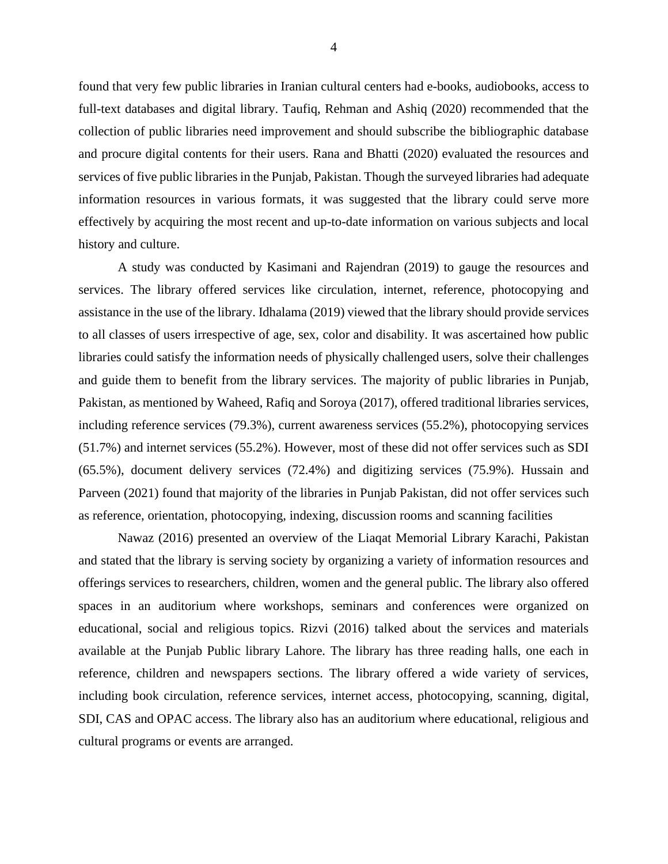found that very few public libraries in Iranian cultural centers had e-books, audiobooks, access to full-text databases and digital library. Taufiq, Rehman and Ashiq (2020) recommended that the collection of public libraries need improvement and should subscribe the bibliographic database and procure digital contents for their users. Rana and Bhatti (2020) evaluated the resources and services of five public libraries in the Punjab, Pakistan. Though the surveyed libraries had adequate information resources in various formats, it was suggested that the library could serve more effectively by acquiring the most recent and up-to-date information on various subjects and local history and culture.

A study was conducted by Kasimani and Rajendran (2019) to gauge the resources and services. The library offered services like circulation, internet, reference, photocopying and assistance in the use of the library. Idhalama (2019) viewed that the library should provide services to all classes of users irrespective of age, sex, color and disability. It was ascertained how public libraries could satisfy the information needs of physically challenged users, solve their challenges and guide them to benefit from the library services. The majority of public libraries in Punjab, Pakistan, as mentioned by Waheed, Rafiq and Soroya (2017), offered traditional libraries services, including reference services (79.3%), current awareness services (55.2%), photocopying services (51.7%) and internet services (55.2%). However, most of these did not offer services such as SDI (65.5%), document delivery services (72.4%) and digitizing services (75.9%). Hussain and Parveen (2021) found that majority of the libraries in Punjab Pakistan, did not offer services such as reference, orientation, photocopying, indexing, discussion rooms and scanning facilities

Nawaz (2016) presented an overview of the Liaqat Memorial Library Karachi, Pakistan and stated that the library is serving society by organizing a variety of information resources and offerings services to researchers, children, women and the general public. The library also offered spaces in an auditorium where workshops, seminars and conferences were organized on educational, social and religious topics. Rizvi (2016) talked about the services and materials available at the Punjab Public library Lahore. The library has three reading halls, one each in reference, children and newspapers sections. The library offered a wide variety of services, including book circulation, reference services, internet access, photocopying, scanning, digital, SDI, CAS and OPAC access. The library also has an auditorium where educational, religious and cultural programs or events are arranged.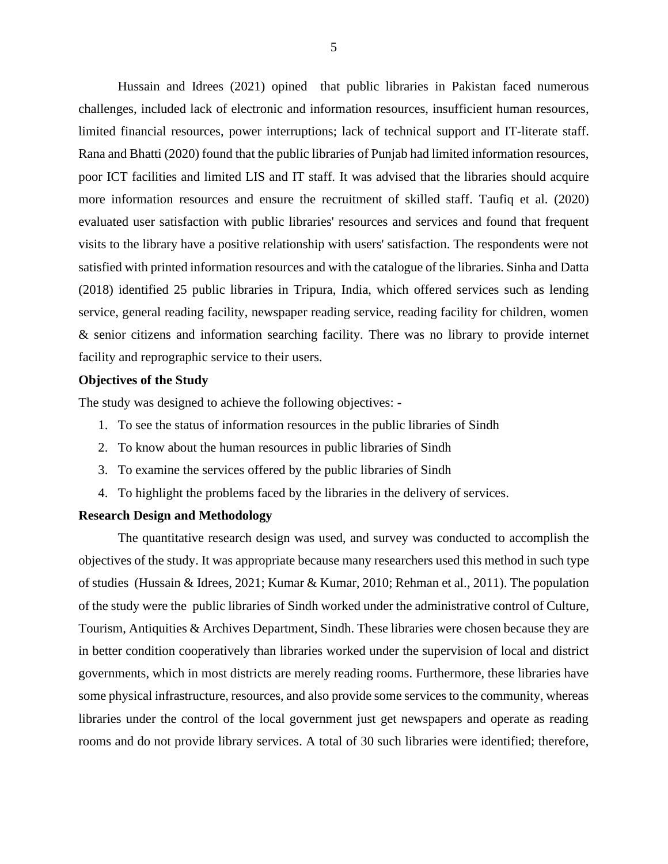Hussain and Idrees (2021) opined that public libraries in Pakistan faced numerous challenges, included lack of electronic and information resources, insufficient human resources, limited financial resources, power interruptions; lack of technical support and IT-literate staff. Rana and Bhatti (2020) found that the public libraries of Punjab had limited information resources, poor ICT facilities and limited LIS and IT staff. It was advised that the libraries should acquire more information resources and ensure the recruitment of skilled staff. Taufiq et al. (2020) evaluated user satisfaction with public libraries' resources and services and found that frequent visits to the library have a positive relationship with users' satisfaction. The respondents were not satisfied with printed information resources and with the catalogue of the libraries. Sinha and Datta (2018) identified 25 public libraries in Tripura, India, which offered services such as lending service, general reading facility, newspaper reading service, reading facility for children, women & senior citizens and information searching facility. There was no library to provide internet facility and reprographic service to their users.

# **Objectives of the Study**

The study was designed to achieve the following objectives: -

- 1. To see the status of information resources in the public libraries of Sindh
- 2. To know about the human resources in public libraries of Sindh
- 3. To examine the services offered by the public libraries of Sindh
- 4. To highlight the problems faced by the libraries in the delivery of services.

# **Research Design and Methodology**

The quantitative research design was used, and survey was conducted to accomplish the objectives of the study. It was appropriate because many researchers used this method in such type of studies (Hussain & Idrees, 2021; Kumar & Kumar, 2010; Rehman et al., 2011). The population of the study were the public libraries of Sindh worked under the administrative control of Culture, Tourism, Antiquities & Archives Department, Sindh. These libraries were chosen because they are in better condition cooperatively than libraries worked under the supervision of local and district governments, which in most districts are merely reading rooms. Furthermore, these libraries have some physical infrastructure, resources, and also provide some services to the community, whereas libraries under the control of the local government just get newspapers and operate as reading rooms and do not provide library services. A total of 30 such libraries were identified; therefore,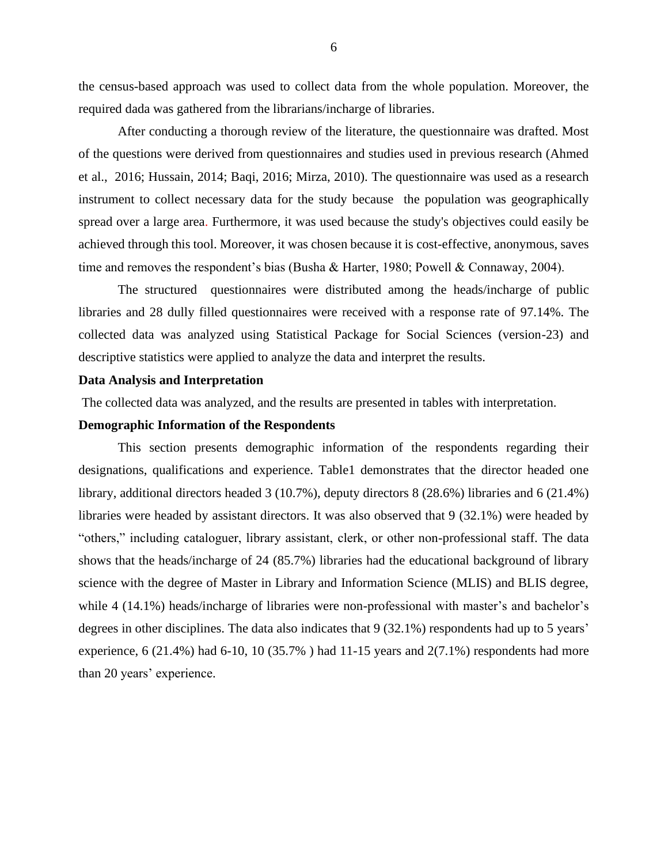the census-based approach was used to collect data from the whole population. Moreover, the required dada was gathered from the librarians/incharge of libraries.

After conducting a thorough review of the literature, the questionnaire was drafted. Most of the questions were derived from questionnaires and studies used in previous research (Ahmed et al., 2016; Hussain, 2014; Baqi, 2016; Mirza, 2010). The questionnaire was used as a research instrument to collect necessary data for the study because the population was geographically spread over a large area. Furthermore, it was used because the study's objectives could easily be achieved through this tool. Moreover, it was chosen because it is cost-effective, anonymous, saves time and removes the respondent's bias (Busha & Harter, 1980; Powell & Connaway, 2004).

The structured questionnaires were distributed among the heads/incharge of public libraries and 28 dully filled questionnaires were received with a response rate of 97.14%. The collected data was analyzed using Statistical Package for Social Sciences (version-23) and descriptive statistics were applied to analyze the data and interpret the results.

#### **Data Analysis and Interpretation**

The collected data was analyzed, and the results are presented in tables with interpretation.

# **Demographic Information of the Respondents**

This section presents demographic information of the respondents regarding their designations, qualifications and experience. Table1 demonstrates that the director headed one library, additional directors headed 3 (10.7%), deputy directors 8 (28.6%) libraries and 6 (21.4%) libraries were headed by assistant directors. It was also observed that 9 (32.1%) were headed by "others," including cataloguer, library assistant, clerk, or other non-professional staff. The data shows that the heads/incharge of 24 (85.7%) libraries had the educational background of library science with the degree of Master in Library and Information Science (MLIS) and BLIS degree, while 4 (14.1%) heads/incharge of libraries were non-professional with master's and bachelor's degrees in other disciplines. The data also indicates that 9 (32.1%) respondents had up to 5 years' experience, 6 (21.4%) had 6-10, 10 (35.7%) had 11-15 years and  $2(7.1\%)$  respondents had more than 20 years' experience.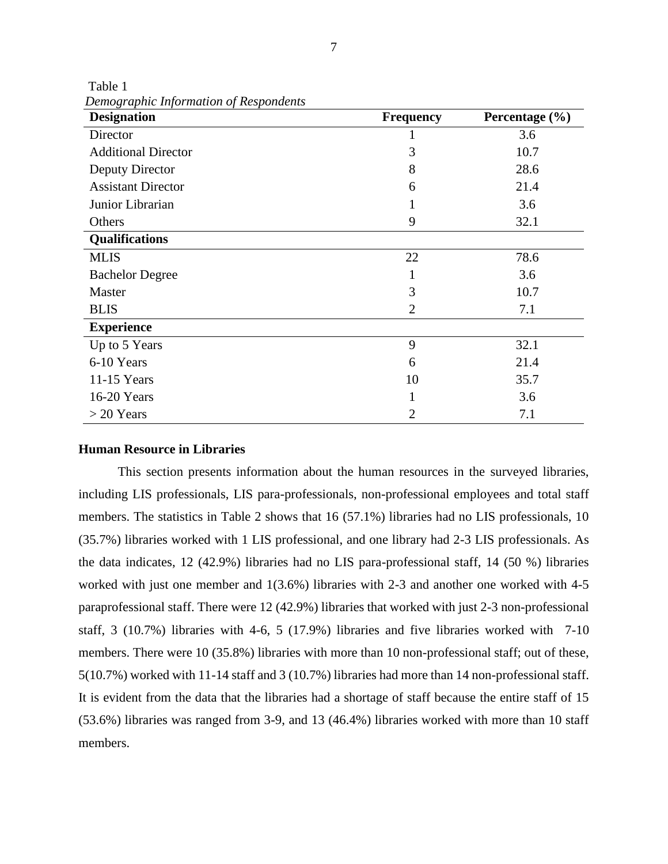| <b>Designation</b>         | <b>Frequency</b> | Percentage (%) |  |
|----------------------------|------------------|----------------|--|
| Director                   |                  | 3.6            |  |
| <b>Additional Director</b> | 3                | 10.7           |  |
| Deputy Director            | 8                | 28.6           |  |
| <b>Assistant Director</b>  | 6                | 21.4           |  |
| Junior Librarian           |                  | 3.6            |  |
| Others                     | 9                | 32.1           |  |
| Qualifications             |                  |                |  |
| <b>MLIS</b>                | 22               | 78.6           |  |
| <b>Bachelor Degree</b>     | -1               | 3.6            |  |
| Master                     | 3                | 10.7           |  |
| <b>BLIS</b>                | $\overline{2}$   | 7.1            |  |
| <b>Experience</b>          |                  |                |  |
| Up to 5 Years              | 9                | 32.1           |  |
| 6-10 Years                 | 6                | 21.4           |  |
| 11-15 Years                | 10               | 35.7           |  |
| 16-20 Years                |                  | 3.6            |  |
| $>$ 20 Years               | $\overline{2}$   | 7.1            |  |

*Demographic Information of Respondents*

Table 1

# **Human Resource in Libraries**

This section presents information about the human resources in the surveyed libraries, including LIS professionals, LIS para-professionals, non-professional employees and total staff members. The statistics in Table 2 shows that 16 (57.1%) libraries had no LIS professionals, 10 (35.7%) libraries worked with 1 LIS professional, and one library had 2-3 LIS professionals. As the data indicates, 12 (42.9%) libraries had no LIS para-professional staff, 14 (50 %) libraries worked with just one member and 1(3.6%) libraries with 2-3 and another one worked with 4-5 paraprofessional staff. There were 12 (42.9%) libraries that worked with just 2-3 non-professional staff, 3 (10.7%) libraries with 4-6, 5 (17.9%) libraries and five libraries worked with 7-10 members. There were 10 (35.8%) libraries with more than 10 non-professional staff; out of these, 5(10.7%) worked with 11-14 staff and 3 (10.7%) libraries had more than 14 non-professional staff. It is evident from the data that the libraries had a shortage of staff because the entire staff of 15 (53.6%) libraries was ranged from 3-9, and 13 (46.4%) libraries worked with more than 10 staff members.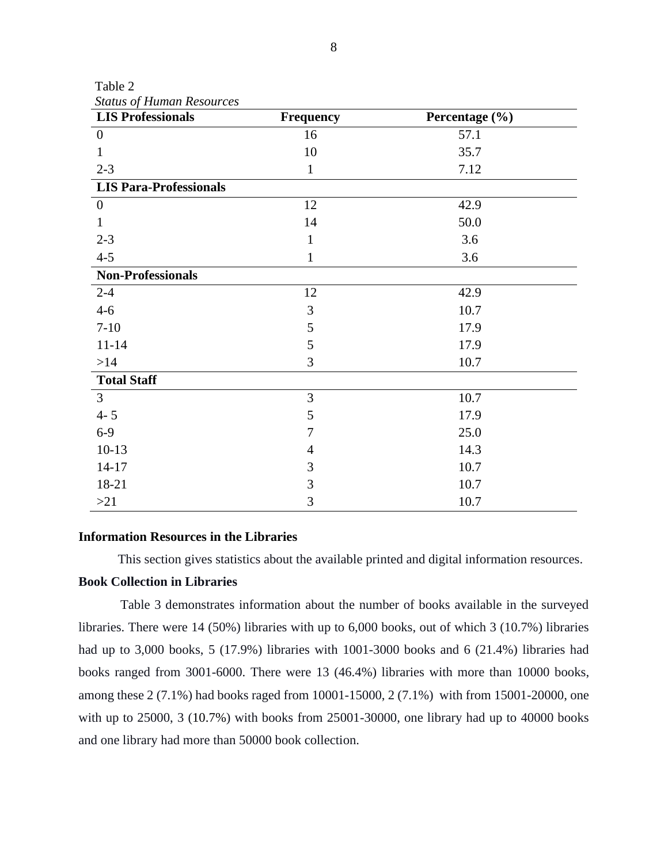| Table 2                          |  |
|----------------------------------|--|
| <b>Status of Human Resources</b> |  |

| status of Human Resources<br><b>LIS Professionals</b> | Frequency      | Percentage (%) |
|-------------------------------------------------------|----------------|----------------|
| $\boldsymbol{0}$                                      | 16             | 57.1           |
|                                                       | 10             | 35.7           |
| $2 - 3$                                               | $\mathbf{1}$   | 7.12           |
| <b>LIS Para-Professionals</b>                         |                |                |
| $\boldsymbol{0}$                                      | 12             | 42.9           |
|                                                       | 14             | 50.0           |
| $2 - 3$                                               | 1              | 3.6            |
| $4 - 5$                                               | 1              | 3.6            |
| <b>Non-Professionals</b>                              |                |                |
| $2 - 4$                                               | 12             | 42.9           |
| $4 - 6$                                               | 3              | 10.7           |
| $7 - 10$                                              | 5              | 17.9           |
| $11 - 14$                                             | 5              | 17.9           |
| $>14$                                                 | 3              | 10.7           |
| <b>Total Staff</b>                                    |                |                |
| $\overline{3}$                                        | 3              | 10.7           |
| $4 - 5$                                               | 5              | 17.9           |
| $6-9$                                                 | 7              | 25.0           |
| $10-13$                                               | $\overline{4}$ | 14.3           |
| $14 - 17$                                             | 3              | 10.7           |
| 18-21                                                 | 3              | 10.7           |
| >21                                                   | 3              | 10.7           |

#### **Information Resources in the Libraries**

This section gives statistics about the available printed and digital information resources.

# **Book Collection in Libraries**

Table 3 demonstrates information about the number of books available in the surveyed libraries. There were 14 (50%) libraries with up to 6,000 books, out of which 3 (10.7%) libraries had up to 3,000 books, 5 (17.9%) libraries with 1001-3000 books and 6 (21.4%) libraries had books ranged from 3001-6000. There were 13 (46.4%) libraries with more than 10000 books, among these 2 (7.1%) had books raged from 10001-15000, 2 (7.1%) with from 15001-20000, one with up to 25000, 3 (10.7%) with books from 25001-30000, one library had up to 40000 books and one library had more than 50000 book collection.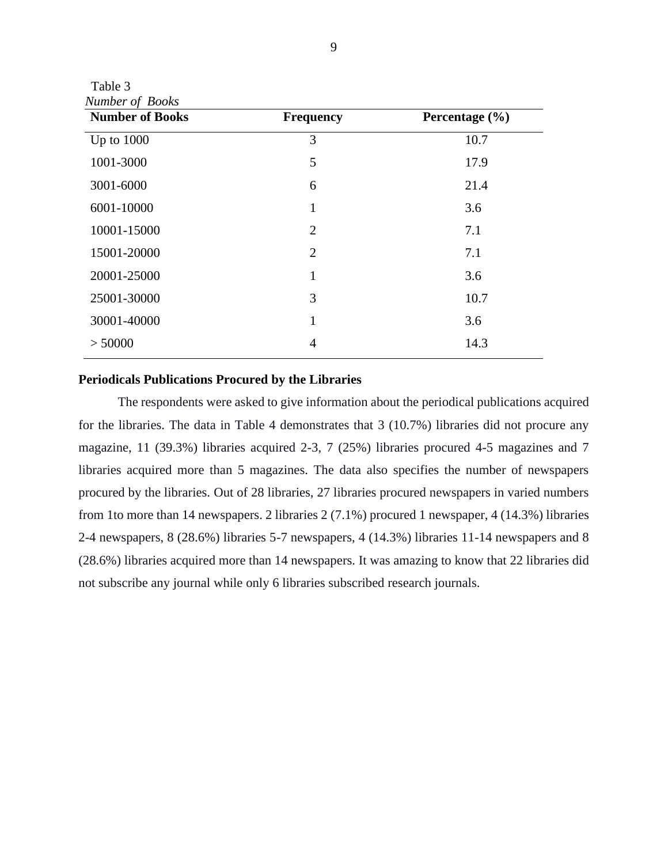Table 3  *Number of Books*

| $\sim$ $\sim$ $\sim$ $\sim$<br><b>Number of Books</b> | <b>Frequency</b> | Percentage (%) |
|-------------------------------------------------------|------------------|----------------|
| Up to $1000$                                          | 3                | 10.7           |
| 1001-3000                                             | 5                | 17.9           |
| 3001-6000                                             | 6                | 21.4           |
| 6001-10000                                            | 1                | 3.6            |
| 10001-15000                                           | $\overline{2}$   | 7.1            |
| 15001-20000                                           | $\overline{2}$   | 7.1            |
| 20001-25000                                           | 1                | 3.6            |
| 25001-30000                                           | 3                | 10.7           |
| 30001-40000                                           | 1                | 3.6            |
| > 50000                                               | $\overline{4}$   | 14.3           |

# **Periodicals Publications Procured by the Libraries**

The respondents were asked to give information about the periodical publications acquired for the libraries. The data in Table 4 demonstrates that 3 (10.7%) libraries did not procure any magazine, 11 (39.3%) libraries acquired 2-3, 7 (25%) libraries procured 4-5 magazines and 7 libraries acquired more than 5 magazines. The data also specifies the number of newspapers procured by the libraries. Out of 28 libraries, 27 libraries procured newspapers in varied numbers from 1to more than 14 newspapers. 2 libraries 2 (7.1%) procured 1 newspaper, 4 (14.3%) libraries 2-4 newspapers, 8 (28.6%) libraries 5-7 newspapers, 4 (14.3%) libraries 11-14 newspapers and 8 (28.6%) libraries acquired more than 14 newspapers. It was amazing to know that 22 libraries did not subscribe any journal while only 6 libraries subscribed research journals.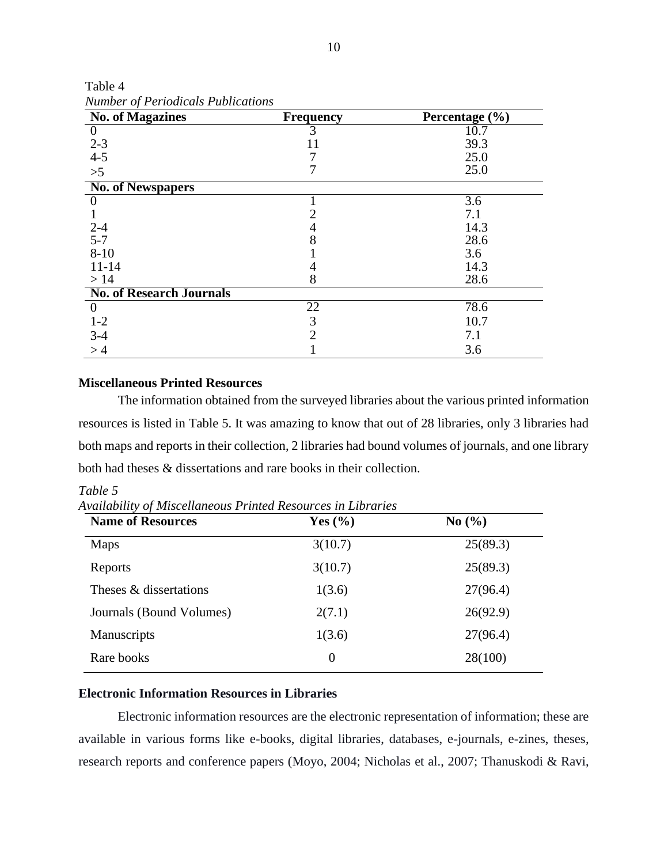| <b>No. of Magazines</b>         | <b>Frequency</b> | Percentage (%) |
|---------------------------------|------------------|----------------|
| $\overline{0}$                  |                  | 10.7           |
| $2 - 3$                         |                  | 39.3           |
| $4 - 5$                         |                  | 25.0           |
| >5                              |                  | 25.0           |
| <b>No. of Newspapers</b>        |                  |                |
| 0                               |                  | 3.6            |
|                                 |                  | 7.1            |
| $2 - 4$                         | 4                | 14.3           |
| $5 - 7$                         | 8                | 28.6           |
| $8 - 10$                        |                  | 3.6            |
| $11 - 14$                       | 4                | 14.3           |
| >14                             | 8                | 28.6           |
| <b>No. of Research Journals</b> |                  |                |
| $\Omega$                        | 22               | 78.6           |
| $1 - 2$                         | 3                | 10.7           |
| $3-4$                           | $\overline{2}$   | 7.1            |
| >4                              |                  | 3.6            |

 Table 4  *Number of Periodicals Publications*

# **Miscellaneous Printed Resources**

The information obtained from the surveyed libraries about the various printed information resources is listed in Table 5. It was amazing to know that out of 28 libraries, only 3 libraries had both maps and reports in their collection, 2 libraries had bound volumes of journals, and one library both had theses & dissertations and rare books in their collection.

| <b>Name of Resources</b> | Yes $(\% )$ | No(%)    |
|--------------------------|-------------|----------|
| Maps                     | 3(10.7)     | 25(89.3) |
| Reports                  | 3(10.7)     | 25(89.3) |
| Theses & dissertations   | 1(3.6)      | 27(96.4) |
| Journals (Bound Volumes) | 2(7.1)      | 26(92.9) |
| Manuscripts              | 1(3.6)      | 27(96.4) |
| Rare books               | $\theta$    | 28(100)  |

*Table 5*

*Availability of Miscellaneous Printed Resources in Libraries* 

# **Electronic Information Resources in Libraries**

Electronic information resources are the electronic representation of information; these are available in various forms like e-books, digital libraries, databases, e-journals, e-zines, theses, research reports and conference papers (Moyo, 2004; Nicholas et al., 2007; Thanuskodi & Ravi,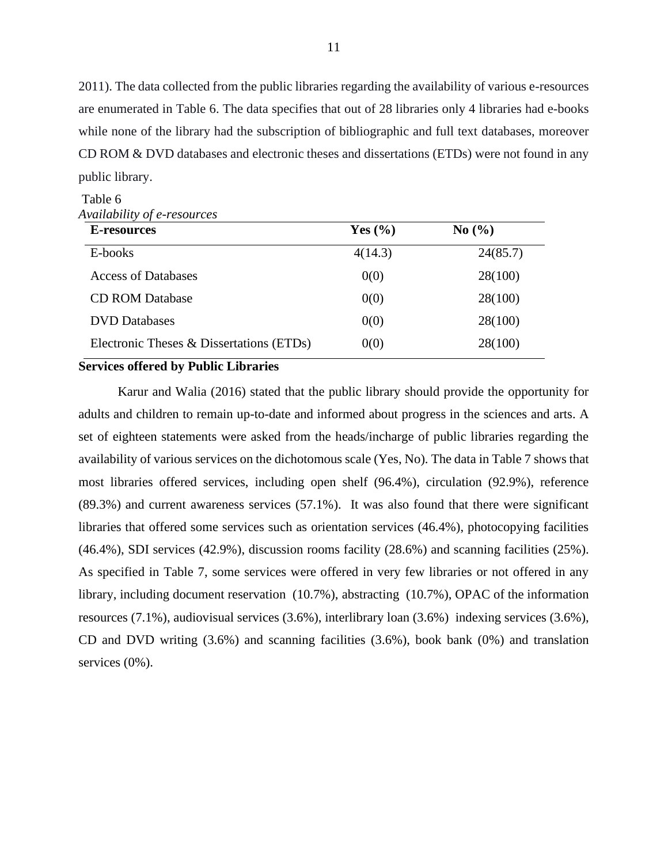2011). The data collected from the public libraries regarding the availability of various e-resources are enumerated in Table 6. The data specifies that out of 28 libraries only 4 libraries had e-books while none of the library had the subscription of bibliographic and full text databases, moreover CD ROM & DVD databases and electronic theses and dissertations (ETDs) were not found in any public library.

# Table 6 *Availability of e-resources*

| E-resources                              | Yes $(\% )$ | No(%)    |  |
|------------------------------------------|-------------|----------|--|
| E-books                                  | 4(14.3)     | 24(85.7) |  |
| <b>Access of Databases</b>               | 0(0)        | 28(100)  |  |
| <b>CD ROM Database</b>                   | 0(0)        | 28(100)  |  |
| <b>DVD</b> Databases                     | 0(0)        | 28(100)  |  |
| Electronic Theses & Dissertations (ETDs) | 0(0)        | 28(100)  |  |

#### **Services offered by Public Libraries**

Karur and Walia (2016) stated that the public library should provide the opportunity for adults and children to remain up-to-date and informed about progress in the sciences and arts. A set of eighteen statements were asked from the heads/incharge of public libraries regarding the availability of various services on the dichotomous scale (Yes, No). The data in Table 7 shows that most libraries offered services, including open shelf (96.4%), circulation (92.9%), reference (89.3%) and current awareness services (57.1%). It was also found that there were significant libraries that offered some services such as orientation services (46.4%), photocopying facilities (46.4%), SDI services (42.9%), discussion rooms facility (28.6%) and scanning facilities (25%). As specified in Table 7, some services were offered in very few libraries or not offered in any library, including document reservation (10.7%), abstracting (10.7%), OPAC of the information resources (7.1%), audiovisual services (3.6%), interlibrary loan (3.6%) indexing services (3.6%), CD and DVD writing (3.6%) and scanning facilities (3.6%), book bank (0%) and translation services (0%).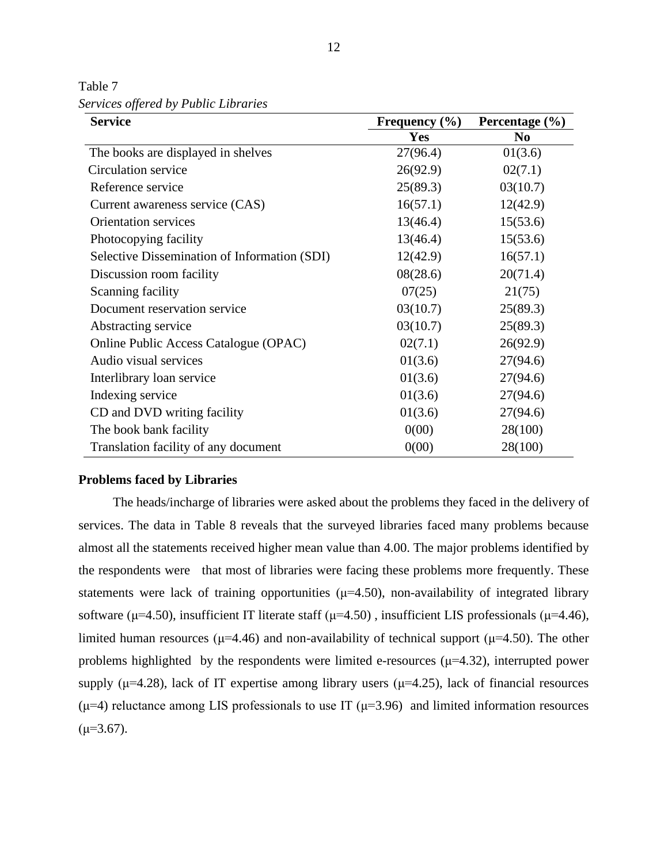Table 7 *Services offered by Public Libraries*

| <b>Service</b>                               | Frequency $(\% )$ | Percentage $(\% )$ |  |
|----------------------------------------------|-------------------|--------------------|--|
|                                              | Yes               | N <sub>0</sub>     |  |
| The books are displayed in shelves           | 27(96.4)          | 01(3.6)            |  |
| Circulation service                          | 26(92.9)          | 02(7.1)            |  |
| Reference service                            | 25(89.3)          | 03(10.7)           |  |
| Current awareness service (CAS)              | 16(57.1)          | 12(42.9)           |  |
| <b>Orientation services</b>                  | 13(46.4)          | 15(53.6)           |  |
| Photocopying facility                        | 13(46.4)          | 15(53.6)           |  |
| Selective Dissemination of Information (SDI) | 12(42.9)          | 16(57.1)           |  |
| Discussion room facility                     | 08(28.6)          | 20(71.4)           |  |
| Scanning facility                            | 07(25)            | 21(75)             |  |
| Document reservation service                 | 03(10.7)          | 25(89.3)           |  |
| Abstracting service                          | 03(10.7)          | 25(89.3)           |  |
| Online Public Access Catalogue (OPAC)        | 02(7.1)           | 26(92.9)           |  |
| Audio visual services                        | 01(3.6)           | 27(94.6)           |  |
| Interlibrary loan service                    | 01(3.6)           | 27(94.6)           |  |
| Indexing service                             | 01(3.6)           | 27(94.6)           |  |
| CD and DVD writing facility                  | 01(3.6)           | 27(94.6)           |  |
| The book bank facility                       | 0(00)             | 28(100)            |  |
| Translation facility of any document         | 0(00)             | 28(100)            |  |

#### **Problems faced by Libraries**

The heads/incharge of libraries were asked about the problems they faced in the delivery of services. The data in Table 8 reveals that the surveyed libraries faced many problems because almost all the statements received higher mean value than 4.00. The major problems identified by the respondents were that most of libraries were facing these problems more frequently. These statements were lack of training opportunities ( $\mu$ =4.50), non-availability of integrated library software ( $\mu$ =4.50), insufficient IT literate staff ( $\mu$ =4.50), insufficient LIS professionals ( $\mu$ =4.46), limited human resources ( $\mu$ =4.46) and non-availability of technical support ( $\mu$ =4.50). The other problems highlighted by the respondents were limited e-resources  $(\mu=4.32)$ , interrupted power supply ( $\mu$ =4.28), lack of IT expertise among library users ( $\mu$ =4.25), lack of financial resources ( $\mu$ =4) reluctance among LIS professionals to use IT ( $\mu$ =3.96) and limited information resources  $(\mu=3.67)$ .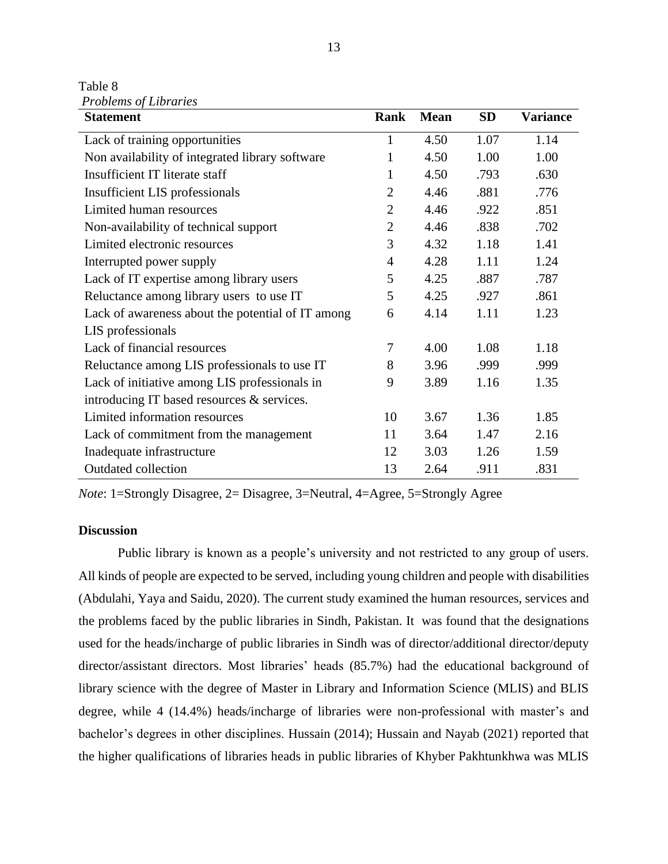Table 8 *Problems of Libraries*

| <b>Statement</b>                                  | <b>Rank</b>    | <b>Mean</b> | <b>SD</b> | <b>Variance</b> |
|---------------------------------------------------|----------------|-------------|-----------|-----------------|
| Lack of training opportunities                    | 1              | 4.50        | 1.07      | 1.14            |
| Non availability of integrated library software   | 1              | 4.50        | 1.00      | 1.00            |
| Insufficient IT literate staff                    | 1              | 4.50        | .793      | .630            |
| Insufficient LIS professionals                    | $\overline{2}$ | 4.46        | .881      | .776            |
| Limited human resources                           | $\overline{2}$ | 4.46        | .922      | .851            |
| Non-availability of technical support             | $\overline{2}$ | 4.46        | .838      | .702            |
| Limited electronic resources                      | 3              | 4.32        | 1.18      | 1.41            |
| Interrupted power supply                          | $\overline{4}$ | 4.28        | 1.11      | 1.24            |
| Lack of IT expertise among library users          | 5              | 4.25        | .887      | .787            |
| Reluctance among library users to use IT          | 5              | 4.25        | .927      | .861            |
| Lack of awareness about the potential of IT among | 6              | 4.14        | 1.11      | 1.23            |
| LIS professionals                                 |                |             |           |                 |
| Lack of financial resources                       | 7              | 4.00        | 1.08      | 1.18            |
| Reluctance among LIS professionals to use IT      | 8              | 3.96        | .999      | .999            |
| Lack of initiative among LIS professionals in     | 9              | 3.89        | 1.16      | 1.35            |
| introducing IT based resources & services.        |                |             |           |                 |
| Limited information resources                     | 10             | 3.67        | 1.36      | 1.85            |
| Lack of commitment from the management            | 11             | 3.64        | 1.47      | 2.16            |
| Inadequate infrastructure                         | 12             | 3.03        | 1.26      | 1.59            |
| <b>Outdated collection</b>                        | 13             | 2.64        | .911      | .831            |

*Note*: 1=Strongly Disagree, 2= Disagree, 3=Neutral, 4=Agree, 5=Strongly Agree

#### **Discussion**

Public library is known as a people's university and not restricted to any group of users. All kinds of people are expected to be served, including young children and people with disabilities (Abdulahi, Yaya and Saidu, 2020). The current study examined the human resources, services and the problems faced by the public libraries in Sindh, Pakistan. It was found that the designations used for the heads/incharge of public libraries in Sindh was of director/additional director/deputy director/assistant directors. Most libraries' heads (85.7%) had the educational background of library science with the degree of Master in Library and Information Science (MLIS) and BLIS degree, while 4 (14.4%) heads/incharge of libraries were non-professional with master's and bachelor's degrees in other disciplines. Hussain (2014); Hussain and Nayab (2021) reported that the higher qualifications of libraries heads in public libraries of Khyber Pakhtunkhwa was MLIS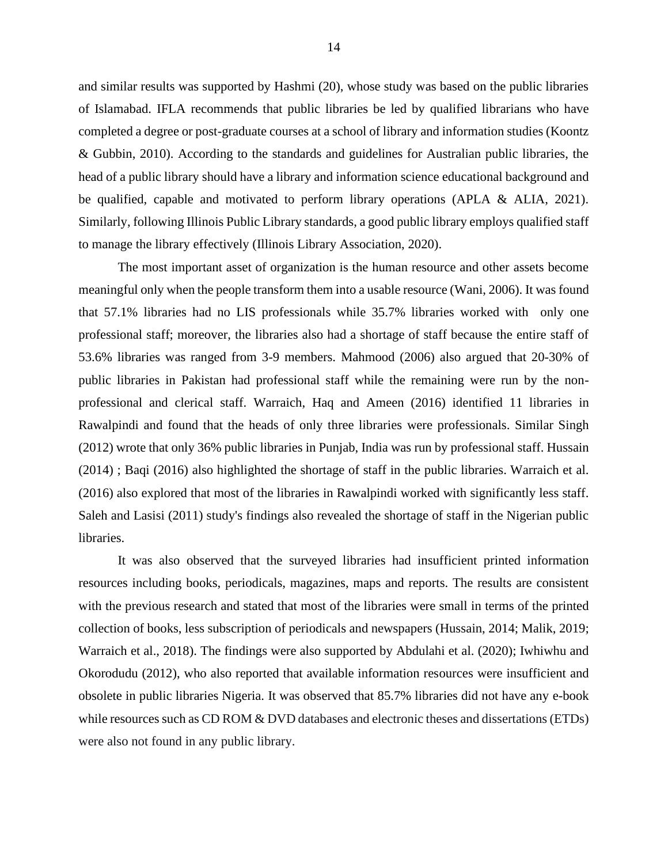and similar results was supported by Hashmi (20), whose study was based on the public libraries of Islamabad. IFLA recommends that public libraries be led by qualified librarians who have completed a degree or post-graduate courses at a school of library and information studies (Koontz & Gubbin, 2010). According to the standards and guidelines for Australian public libraries, the head of a public library should have a library and information science educational background and be qualified, capable and motivated to perform library operations (APLA & ALIA, 2021). Similarly, following Illinois Public Library standards, a good public library employs qualified staff to manage the library effectively (Illinois Library Association, 2020).

The most important asset of organization is the human resource and other assets become meaningful only when the people transform them into a usable resource (Wani, 2006). It was found that 57.1% libraries had no LIS professionals while 35.7% libraries worked with only one professional staff; moreover, the libraries also had a shortage of staff because the entire staff of 53.6% libraries was ranged from 3-9 members. Mahmood (2006) also argued that 20-30% of public libraries in Pakistan had professional staff while the remaining were run by the nonprofessional and clerical staff. Warraich, Haq and Ameen (2016) identified 11 libraries in Rawalpindi and found that the heads of only three libraries were professionals. Similar Singh (2012) wrote that only 36% public libraries in Punjab, India was run by professional staff. Hussain (2014) ; Baqi (2016) also highlighted the shortage of staff in the public libraries. Warraich et al. (2016) also explored that most of the libraries in Rawalpindi worked with significantly less staff. Saleh and Lasisi (2011) study's findings also revealed the shortage of staff in the Nigerian public libraries.

It was also observed that the surveyed libraries had insufficient printed information resources including books, periodicals, magazines, maps and reports. The results are consistent with the previous research and stated that most of the libraries were small in terms of the printed collection of books, less subscription of periodicals and newspapers (Hussain, 2014; Malik, 2019; Warraich et al., 2018). The findings were also supported by Abdulahi et al. (2020); Iwhiwhu and Okorodudu (2012), who also reported that available information resources were insufficient and obsolete in public libraries Nigeria. It was observed that 85.7% libraries did not have any e-book while resources such as CD ROM & DVD databases and electronic theses and dissertations (ETDs) were also not found in any public library.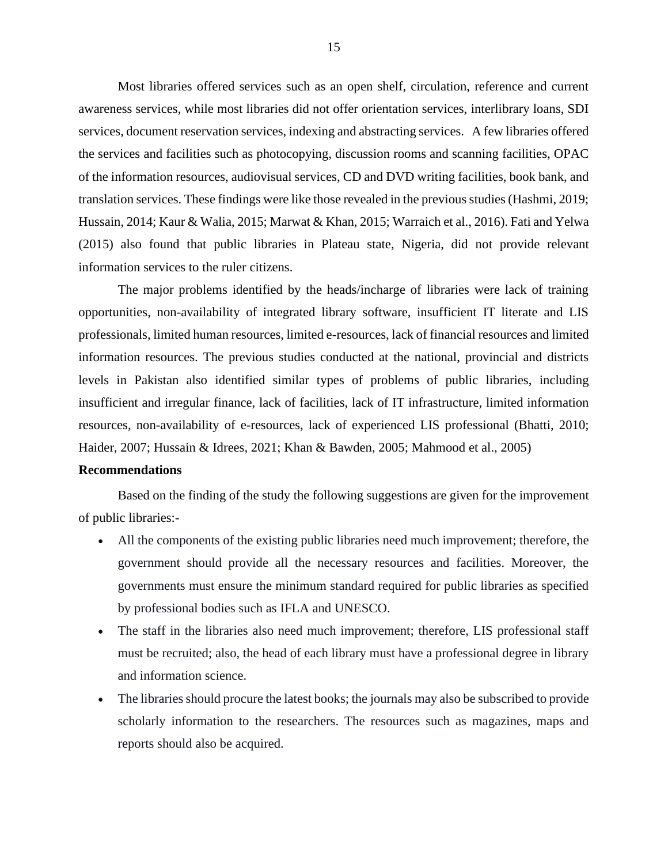Most libraries offered services such as an open shelf, circulation, reference and current awareness services, while most libraries did not offer orientation services, interlibrary loans, SDI services, document reservation services, indexing and abstracting services. A few libraries offered the services and facilities such as photocopying, discussion rooms and scanning facilities, OPAC of the information resources, audiovisual services, CD and DVD writing facilities, book bank, and translation services. These findings were like those revealed in the previous studies (Hashmi, 2019; Hussain, 2014; Kaur & Walia, 2015; Marwat & Khan, 2015; Warraich et al., 2016). Fati and Yelwa (2015) also found that public libraries in Plateau state, Nigeria, did not provide relevant information services to the ruler citizens.

The major problems identified by the heads/incharge of libraries were lack of training opportunities, non-availability of integrated library software, insufficient IT literate and LIS professionals, limited human resources, limited e-resources, lack of financial resources and limited information resources. The previous studies conducted at the national, provincial and districts levels in Pakistan also identified similar types of problems of public libraries, including insufficient and irregular finance, lack of facilities, lack of IT infrastructure, limited information resources, non-availability of e-resources, lack of experienced LIS professional (Bhatti, 2010; Haider, 2007; Hussain & Idrees, 2021; Khan & Bawden, 2005; Mahmood et al., 2005)

# **Recommendations**

Based on the finding of the study the following suggestions are given for the improvement of public libraries:-

- All the components of the existing public libraries need much improvement; therefore, the government should provide all the necessary resources and facilities. Moreover, the governments must ensure the minimum standard required for public libraries as specified by professional bodies such as IFLA and UNESCO.
- The staff in the libraries also need much improvement; therefore, LIS professional staff must be recruited; also, the head of each library must have a professional degree in library and information science.
- The libraries should procure the latest books; the journals may also be subscribed to provide scholarly information to the researchers. The resources such as magazines, maps and reports should also be acquired.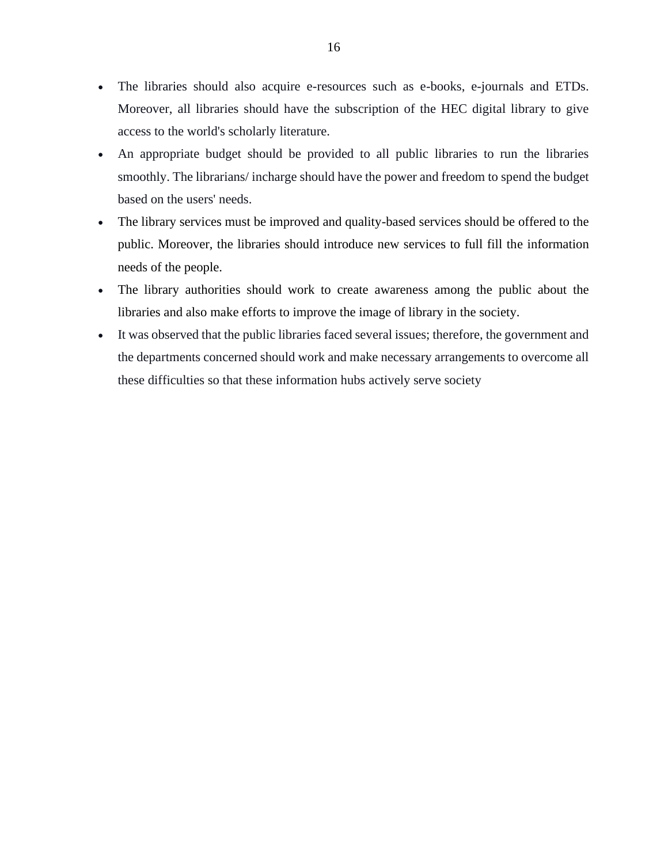- The libraries should also acquire e-resources such as e-books, e-journals and ETDs. Moreover, all libraries should have the subscription of the HEC digital library to give access to the world's scholarly literature.
- An appropriate budget should be provided to all public libraries to run the libraries smoothly. The librarians/ incharge should have the power and freedom to spend the budget based on the users' needs.
- The library services must be improved and quality-based services should be offered to the public. Moreover, the libraries should introduce new services to full fill the information needs of the people.
- The library authorities should work to create awareness among the public about the libraries and also make efforts to improve the image of library in the society.
- It was observed that the public libraries faced several issues; therefore, the government and the departments concerned should work and make necessary arrangements to overcome all these difficulties so that these information hubs actively serve society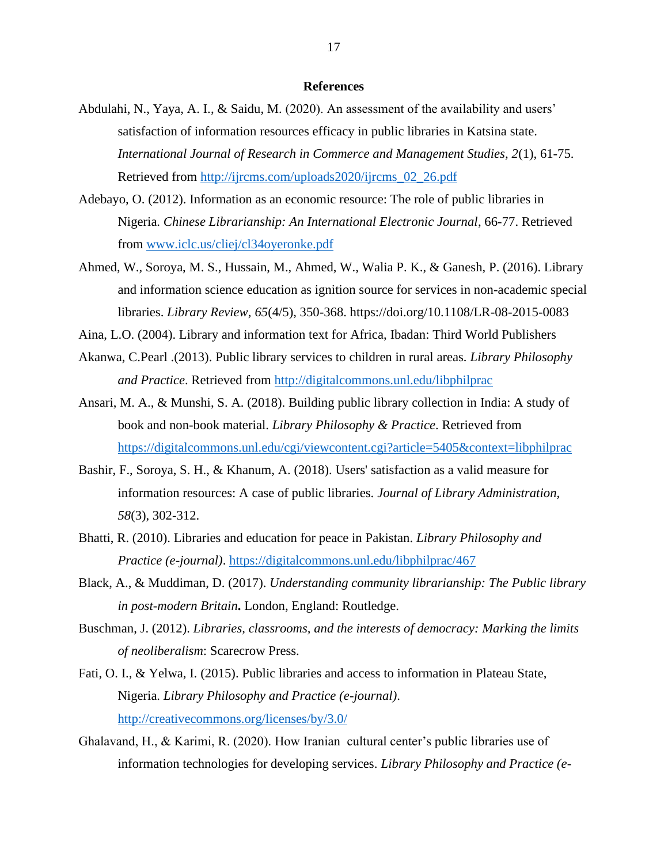#### **References**

- Abdulahi, N., Yaya, A. I., & Saidu, M. (2020). An assessment of the availability and users' satisfaction of information resources efficacy in public libraries in Katsina state. *International Journal of Research in Commerce and Management Studies, 2*(1), 61-75. Retrieved from [http://ijrcms.com/uploads2020/ijrcms\\_02\\_26.pdf](http://ijrcms.com/uploads2020/ijrcms_02_26.pdf)
- Adebayo, O. (2012). Information as an economic resource: The role of public libraries in Nigeria. *Chinese Librarianship: An International Electronic Journal*, 66-77. Retrieved from [www.iclc.us/cliej/cl34oyeronke.pdf](http://www.iclc.us/cliej/cl34oyeronke.pdf)
- Ahmed, W., Soroya, M. S., Hussain, M., Ahmed, W., Walia P. K., & Ganesh, P. (2016). Library and information science education as ignition source for services in non-academic special libraries. *Library Review*, *65*(4/5), 350-368. https://doi.org/10.1108/LR-08-2015-0083
- Aina, L.O. (2004). Library and information text for Africa, Ibadan: Third World Publishers
- Akanwa, C.Pearl .(2013). Public library services to children in rural areas*. Library Philosophy and Practice*. Retrieved from<http://digitalcommons.unl.edu/libphilprac>
- Ansari, M. A., & Munshi, S. A. (2018). Building public library collection in India: A study of book and non-book material. *Library Philosophy & Practice*. Retrieved from <https://digitalcommons.unl.edu/cgi/viewcontent.cgi?article=5405&context=libphilprac>
- Bashir, F., Soroya, S. H., & Khanum, A. (2018). Users' satisfaction as a valid measure for information resources: A case of public libraries. *Journal of Library Administration, 58*(3), 302-312.
- Bhatti, R. (2010). Libraries and education for peace in Pakistan. *Library Philosophy and Practice (e-journal)*.<https://digitalcommons.unl.edu/libphilprac/467>
- Black, A., & Muddiman, D. (2017). *Understanding community librarianship: The Public library in post-modern Britain***.** London, England: Routledge.
- Buschman, J. (2012). *Libraries, classrooms, and the interests of democracy: Marking the limits of neoliberalism*: Scarecrow Press.
- Fati, O. I., & Yelwa, I. (2015). Public libraries and access to information in Plateau State, Nigeria. *Library Philosophy and Practice (e-journal)*. <http://creativecommons.org/licenses/by/3.0/>
- Ghalavand, H., & Karimi, R. (2020). How Iranian cultural center's public libraries use of information technologies for developing services. *Library Philosophy and Practice (e-*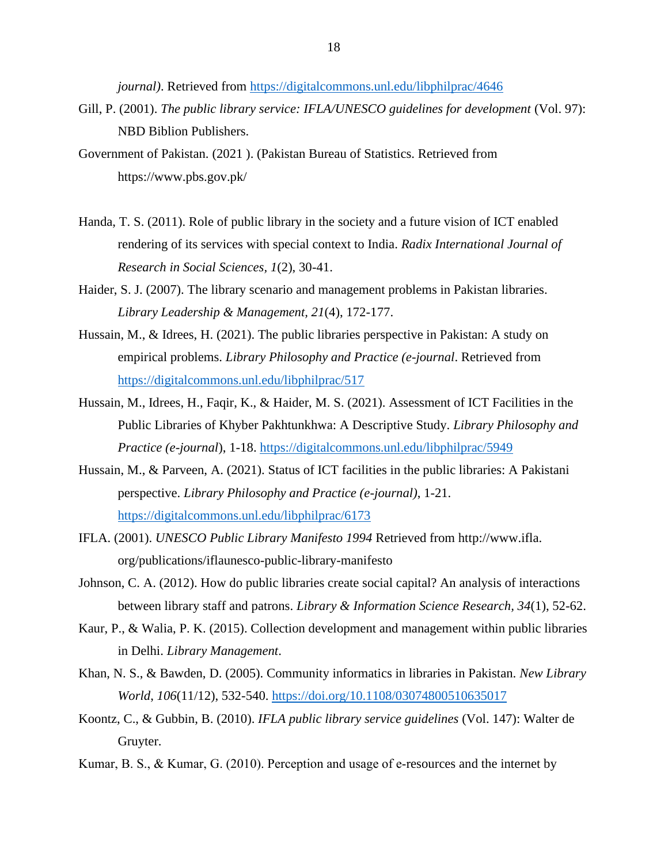*journal)*. Retrieved from<https://digitalcommons.unl.edu/libphilprac/4646>

- Gill, P. (2001). *The public library service: IFLA/UNESCO guidelines for development* (Vol. 97): NBD Biblion Publishers.
- Government of Pakistan. (2021 ). (Pakistan Bureau of Statistics. Retrieved from https://www.pbs.gov.pk/
- Handa, T. S. (2011). Role of public library in the society and a future vision of ICT enabled rendering of its services with special context to India. *Radix International Journal of Research in Social Sciences, 1*(2), 30-41.
- Haider, S. J. (2007). The library scenario and management problems in Pakistan libraries. *Library Leadership & Management, 21*(4), 172-177.
- Hussain, M., & Idrees, H. (2021). The public libraries perspective in Pakistan: A study on empirical problems. *Library Philosophy and Practice (e-journal*. Retrieved from <https://digitalcommons.unl.edu/libphilprac/517>
- Hussain, M., Idrees, H., Faqir, K., & Haider, M. S. (2021). Assessment of ICT Facilities in the Public Libraries of Khyber Pakhtunkhwa: A Descriptive Study. *Library Philosophy and Practice (e-journal*), 1-18.<https://digitalcommons.unl.edu/libphilprac/5949>
- Hussain, M., & Parveen, A. (2021). Status of ICT facilities in the public libraries: A Pakistani perspective. *Library Philosophy and Practice (e-journal)*, 1-21. <https://digitalcommons.unl.edu/libphilprac/6173>
- IFLA. (2001). *UNESCO Public Library Manifesto 1994* Retrieved from http://www.ifla. org/publications/iflaunesco-public-library-manifesto
- Johnson, C. A. (2012). How do public libraries create social capital? An analysis of interactions between library staff and patrons. *Library & Information Science Research, 34*(1), 52-62.
- Kaur, P., & Walia, P. K. (2015). Collection development and management within public libraries in Delhi. *Library Management*.
- Khan, N. S., & Bawden, D. (2005). Community informatics in libraries in Pakistan. *New Library World*, *106*(11/12), 532-540.<https://doi.org/10.1108/03074800510635017>
- Koontz, C., & Gubbin, B. (2010). *IFLA public library service guidelines* (Vol. 147): Walter de Gruyter.
- Kumar, B. S., & Kumar, G. (2010). Perception and usage of e‐resources and the internet by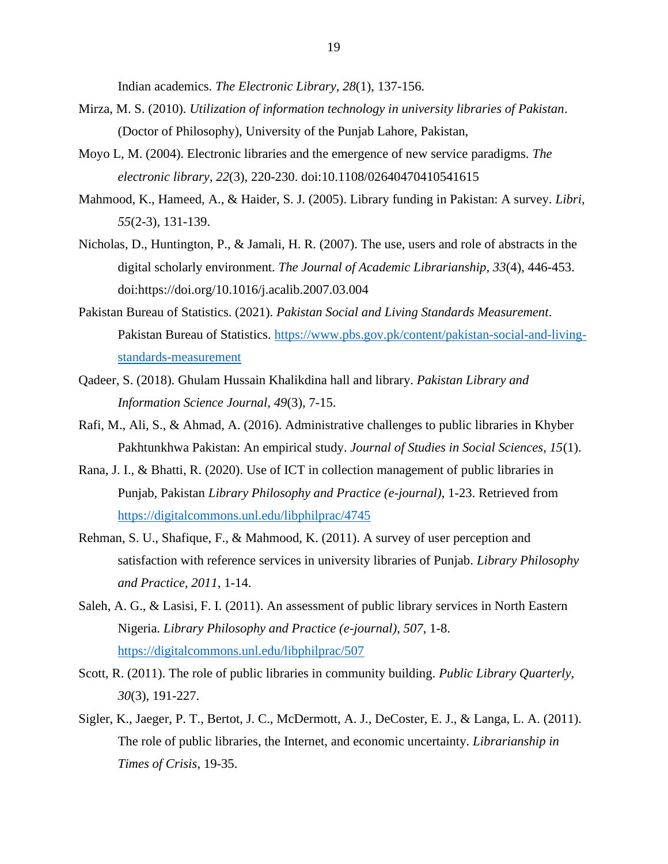Indian academics. *The Electronic Library, 28*(1), 137-156.

- Mirza, M. S. (2010). *Utilization of information technology in university libraries of Pakistan*. (Doctor of Philosophy), University of the Punjab Lahore, Pakistan,
- Moyo L, M. (2004). Electronic libraries and the emergence of new service paradigms. *The electronic library, 22*(3), 220-230. doi:10.1108/02640470410541615
- Mahmood, K., Hameed, A., & Haider, S. J. (2005). Library funding in Pakistan: A survey. *Libri, 55*(2-3), 131-139.
- Nicholas, D., Huntington, P., & Jamali, H. R. (2007). The use, users and role of abstracts in the digital scholarly environment. *The Journal of Academic Librarianship, 33*(4), 446-453. doi:https://doi.org/10.1016/j.acalib.2007.03.004
- Pakistan Bureau of Statistics. (2021). *Pakistan Social and Living Standards Measurement*. Pakistan Bureau of Statistics. [https://www.pbs.gov.pk/content/pakistan-social-and-living](https://www.pbs.gov.pk/content/pakistan-social-and-living-standards-measurement)[standards-measurement](https://www.pbs.gov.pk/content/pakistan-social-and-living-standards-measurement)
- Qadeer, S. (2018). Ghulam Hussain Khalikdina hall and library. *Pakistan Library and Information Science Journal, 49*(3), 7-15.
- Rafi, M., Ali, S., & Ahmad, A. (2016). Administrative challenges to public libraries in Khyber Pakhtunkhwa Pakistan: An empirical study. *Journal of Studies in Social Sciences, 15*(1).
- Rana, J. I., & Bhatti, R. (2020). Use of ICT in collection management of public libraries in Punjab, Pakistan *Library Philosophy and Practice (e-journal)*, 1-23. Retrieved from <https://digitalcommons.unl.edu/libphilprac/4745>
- Rehman, S. U., Shafique, F., & Mahmood, K. (2011). A survey of user perception and satisfaction with reference services in university libraries of Punjab. *Library Philosophy and Practice, 2011*, 1-14.
- Saleh, A. G., & Lasisi, F. I. (2011). An assessment of public library services in North Eastern Nigeria. *Library Philosophy and Practice (e-journal)*, *507*, 1-8. <https://digitalcommons.unl.edu/libphilprac/507>
- Scott, R. (2011). The role of public libraries in community building. *Public Library Quarterly, 30*(3), 191-227.
- Sigler, K., Jaeger, P. T., Bertot, J. C., McDermott, A. J., DeCoster, E. J., & Langa, L. A. (2011). The role of public libraries, the Internet, and economic uncertainty. *Librarianship in Times of Crisis*, 19-35.